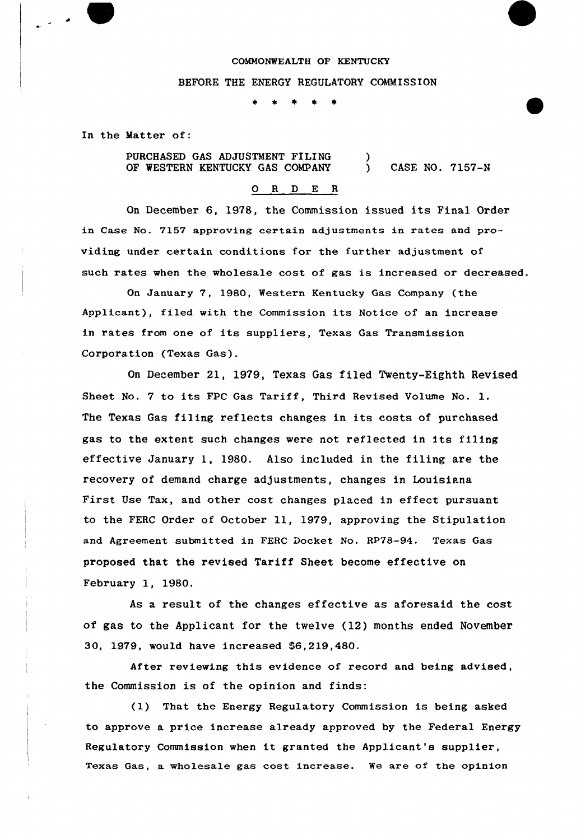## COMMONWEALTH OF KENTUCKY

#### BEFORE THE ENERGY REGULATORY COMMISSION

In the Matter of:

PURCHASED GAS ADJUSTMENT FILING OF WESTERN KENTUCKY GAS COMPANY .<br>1 ) CASE NO. 7157-N

# 0 R <sup>D</sup> E R

On December 6, 1978, the Commission issued its Final Order in Case No. 7157 approving certain adjustments in rates and providing under certain conditions for the further adjustment of such rates when the wholesale cost of gas is increased or decreased.

On January 7, 1980, Western Kentucky Gas Company (the Applicant), filed with the Commission its Notice of an increase in rates from one of its suppliers, Texas Gas Transmission Corporation (Texas Gas).

On December 21, 1979, Texas Gas filed Twenty-Eighth Revised Sheet No. <sup>7</sup> to its FPC Gas Tariff, Third Revised Volume No. l. The Texas Gas filing reflects changes in its costs of purchased gas to the extent such changes were not reflected in its filing effective January 1, 1980. Also included in the filing are the recovery of demand charge adjustments, changes in Louisiana First Use Tax, and other cost changes placed in effect pursuant to the FERC Order of October ll, 1979, approving the Stipulation and Agreement submitted in FERC Docket No. RP78-94. Texas Gas proposed that the revised Tariff Sheet become effective on February 1, 1980.

As a result of the changes effective as aforesaid the cost of gas to the Applicant for the twelve (12) months ended November 30, 1979, would have increased \$6,219,480.

After reviewing this evidence of record and being advised, the Commission is of the opinion and finds:

(1) That the Energy Regulatory Commission is being asked to approve a price increase already approved by the Federal Energy Regulatory Commission when it granted the Applicant's supplier, Texas Gas, a wholesale gas cost increase. We are of the opinion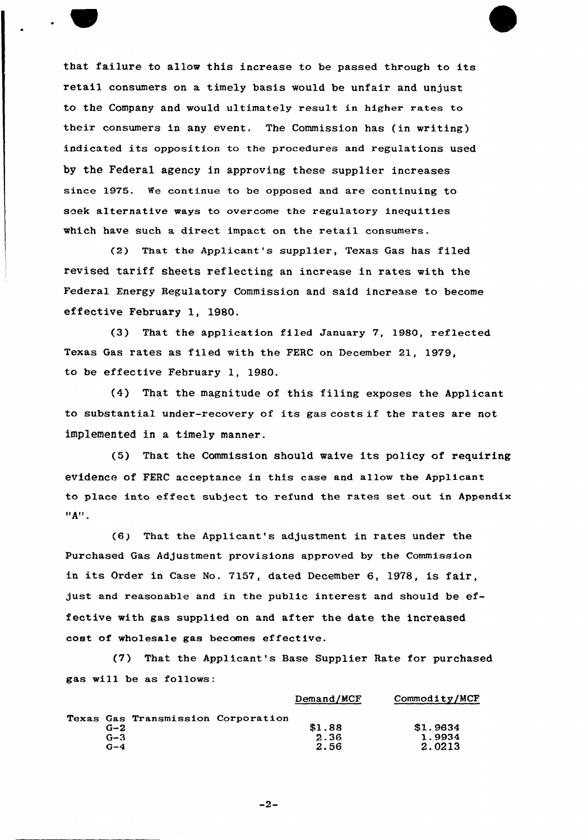that failure to allow this increase to be passed through to its retail consumers on a timely basis would be unfair and unjust to the Company and would ultimately result in higher rates to their consumers in any event. The Commission has (in writing) indicated its opposition to the procedures and regulations used by the Federal agency in approving these supplier increases since 1975. Ne continue to be opposed and are continuing to seek alternative ways to overcome the regulatory inequities which have such a direct impact on the retail consumers.

(2) That the Applicant's supplier, Texas Gas has filed revised tariff sheets reflecting an increase in rates with the Federal Energy Regulatory Commission and said increase to become effective February 1, 1980.

(3) That the application filed January 7, 1980, reflected Texas Gas rates as filed with the FERC on December 21, 1979, to be effective February 1, 1980.

{4) That the magnitude of this filing exposes the Applicant to substantial under-recovery of its gas costs if the rates are not implemented in a timely manner.

(5) That the Commission should waive its policy of requiring evidence of FERC acceptance in this case and allow the Applicant to place into effect subject to refund the rates set out in Appendix  $"A"$ .

(6) That the Applicant's adjustment in rates under the Purchased Gas Adjustment provisions approved by the Commission in its Order in Case No. 7157, dated December 6, 1978, is fair, just and reasonable and in the public interest and should be effective with gas supplied on and after the date the increased cost of wholesale gas becomes effective.

(7) That the Applicant's Base Supplier Rate for purchased gas will be as follows:

|  |         |                                    | Demand/MCF | Commodity/MCF |
|--|---------|------------------------------------|------------|---------------|
|  |         | Texas Gas Transmission Corporation |            |               |
|  | $G-2$   |                                    | \$1.88     | \$1.9634      |
|  | $G - 3$ |                                    | 2.36       | 1.9934        |
|  | $G-4$   |                                    | 2.56       | 2.0213        |

 $-2-$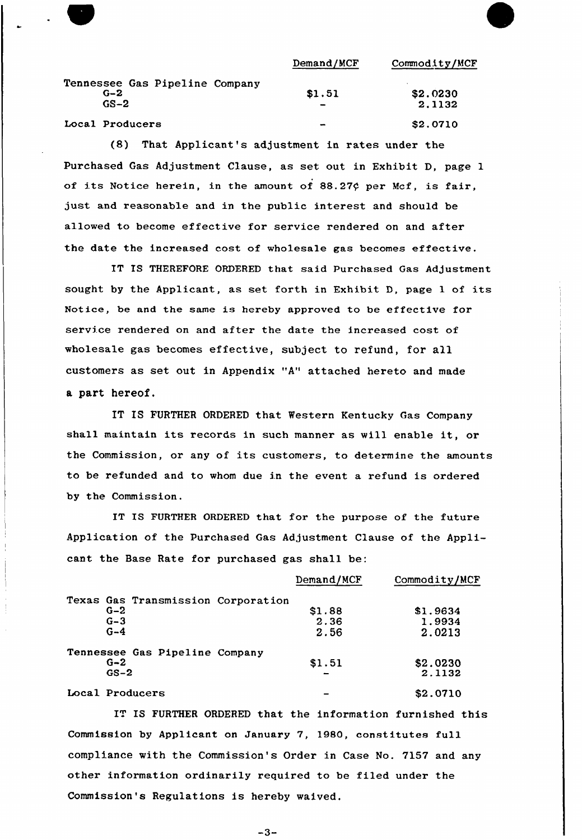|                                | Demand/MCF | Commodity/MCF  |
|--------------------------------|------------|----------------|
| Tennessee Gas Pipeline Company |            |                |
| $G-2$                          | \$1.51     | \$2.0230       |
| $GS-2$                         |            | 2.1132         |
| Local Producers                | $\sim$     | <b>S2.0710</b> |

(8) That Applicant's adjustment in rates under the Purchased Gas Adjustment Clause, as set out in Exhibit D, page 1 of its Notice herein, in the amount of  $88.27$  $¢$  per Mcf, is fair, just and reasonable and in the public interest and should be allowed to become effective for service rendered on and after the date the increased cost of wholesale gas becomes effective.

IT IS THEREFORE ORDERED that said Purchased Gas Adjustment sought by the Applicant, as set forth in Exhibit D, page <sup>1</sup> of its Notice, be and the same is hereby approved to be effective for service rendered on and after the date the increased cost of wholesale gas becomes effective, subject to refund, for all customers as set out in Appendix "A" attached hereto and made a part hereof.

IT IS FURTHER ORDERED that Western Kentucky Gas Company shall maintain its records in such manner as will enable it, or the Commission, or any of its customers, to determine the amounts to be refunded and to whom due in the event a refund is ordered by the Commission.

IT IS FURTHER ORDERED that for the purpose of the future Application of the Purchased Gas Adjustment Clause of the Applicant the Base Rate for purchased gas shall be:

|                                    | Demand/MCF | Commodity/MCF |
|------------------------------------|------------|---------------|
| Texas Gas Transmission Corporation |            |               |
| $G-2$                              | \$1.88     | \$1.9634      |
| $G - 3$                            | 2.36       | 1.9934        |
| $G-4$                              | 2.56       | 2.0213        |
| Tennessee Gas Pipeline Company     |            |               |
| $G - 2$                            | \$1.51     | \$2.0230      |
| $GS-2$                             |            | 2.1132        |
| Local Producers                    |            | \$2.0710      |

IT IS FURTHER ORDERED that the information furnished this Commission by Applicant on January 7, 19BO, constitutes full compliance with the Commission's Order in Case No. 7157 and any other information ordinarily required to be filed under the Commission's Regulations is hereby waived.

 $-3-$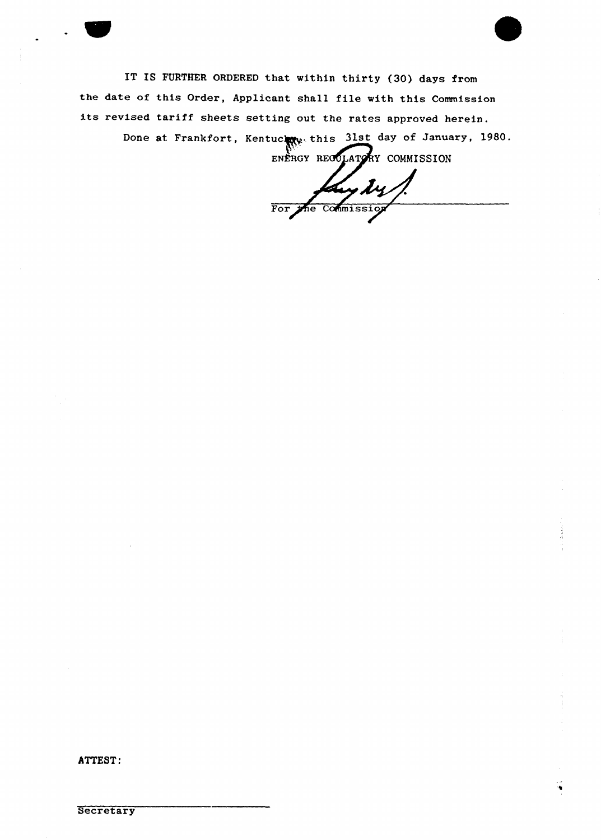IT IS FURTHER ORDERED that within thirty (30) days from the date of this Order, Applicant shall file with this Commission its revised tariff sheets setting out the rates approved herein.

> Done at Frankfort, Kentuchne this 31st day of January, 1980. ENERGY RECOLATORY COMMISSION

ydy For the Commission

ATTEST: